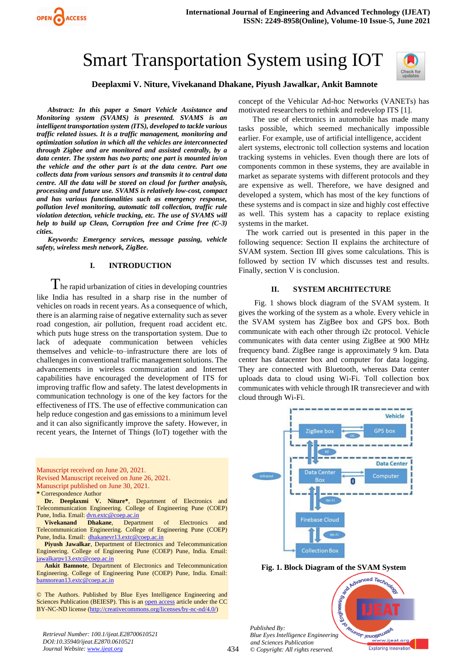



## **Deeplaxmi V. Niture, Vivekanand Dhakane, Piyush Jawalkar, Ankit Bamnote**

*Abstract: In this paper a Smart Vehicle Assistance and Monitoring system (SVAMS) is presented. SVAMS is an intelligent transportation system (ITS), developed to tackle various traffic related issues. It is a traffic management, monitoring and optimization solution in which all the vehicles are interconnected through Zigbee and are monitored and assisted centrally, by a data center. The system has two parts; one part is mounted in/on the vehicle and the other part is at the data centre. Part one collects data from various sensors and transmits it to central data centre. All the data will be stored on cloud for further analysis, processing and future use. SVAMS is relatively low-cost, compact and has various functionalities such as emergency response, pollution level monitoring, automatic toll collection, traffic rule violation detection, vehicle tracking, etc. The use of SVAMS will help to build up Clean, Corruption free and Crime free (C-3) cities.*

OPEN ACCESS

*Keywords: Emergency services, message passing, vehicle safety, wireless mesh network, ZigBee.* 

### **I. INTRODUCTION**

 $\rm T$ he rapid urbanization of cities in developing countries like India has resulted in a sharp rise in the number of vehicles on roads in recent years. As a consequence of which, there is an alarming raise of negative externality such as sever road congestion, air pollution, frequent road accident etc. which puts huge stress on the transportation system. Due to lack of adequate communication between vehicles themselves and vehicle–to–infrastructure there are lots of challenges in conventional traffic management solutions. The advancements in wireless communication and Internet capabilities have encouraged the development of ITS for improving traffic flow and safety. The latest developments in communication technology is one of the key factors for the effectiveness of ITS. The use of effective communication can help reduce congestion and gas emissions to a minimum level and it can also significantly improve the safety. However, in recent years, the Internet of Things (IoT) together with the

Manuscript received on June 20, 2021. Revised Manuscript received on June 26, 2021. Manuscript published on June 30, 2021.

**\*** Correspondence Author

**Dr. Deeplaxmi V. Niture\***, Department of Electronics and Telecommunication Engineering. College of Engineering Pune (COEP) Pune, India. Email[: dvn.extc@coep.ac.in](mailto:dvn.extc@coep.ac.in)

**Vivekanand Dhakane**, Department of Electronics and Telecommunication Engineering. College of Engineering Pune (COEP) Pune, India. Email[: dhakanevr13.extc@coep.ac.in](mailto:dvn.extc@coep.ac.in)

**Piyush Jawalkar**, Department of Electronics and Telecommunication Engineering. College of Engineering Pune (COEP) Pune, India. Email[:](mailto:dvn.extc@coep.ac.in)  [jawalkarpv13.extc@coep.ac.in](mailto:dvn.extc@coep.ac.in)

**Ankit Bamnote**, Department of Electronics and Telecommunication Engineering. College of Engineering Pune (COEP) Pune, India. Email[:](mailto:dvn.extc@coep.ac.in)  [bamnorean13.extc@coep.ac.in](mailto:dvn.extc@coep.ac.in)

© The Authors. Published by Blue Eyes Intelligence Engineering and Sciences Publication (BEIESP). This is a[n open access](https://www.openaccess.nl/en/open-publications) article under the CC BY-NC-ND license [\(http://creativecommons.org/licenses/by-nc-nd/4.0/\)](http://creativecommons.org/licenses/by-nc-nd/4.0/)

concept of the Vehicular Ad-hoc Networks (VANETs) has motivated researchers to rethink and redevelop ITS [1].

The use of electronics in automobile has made many tasks possible, which seemed mechanically impossible earlier. For example, use of artificial intelligence, accident alert systems, electronic toll collection systems and location tracking systems in vehicles. Even though there are lots of components common in these systems, they are available in market as separate systems with different protocols and they are expensive as well. Therefore, we have designed and developed a system, which has most of the key functions of these systems and is compact in size and highly cost effective as well. This system has a capacity to replace existing systems in the market.

The work carried out is presented in this paper in the following sequence: Section II explains the architecture of SVAM system. Section III gives some calculations. This is followed by section IV which discusses test and results. Finally, section V is conclusion.

### **II. SYSTEM ARCHITECTURE**

Fig. 1 shows block diagram of the SVAM system. It gives the working of the system as a whole. Every vehicle in the SVAM system has ZigBee box and GPS box. Both communicate with each other through i2c protocol. Vehicle communicates with data center using ZigBee at 900 MHz frequency band. ZigBee range is approximately 9 km. Data center has datacenter box and computer for data logging. They are connected with Bluetooth, whereas Data center uploads data to cloud using Wi-Fi. Toll collection box communicates with vehicle through IR transreciever and with cloud through Wi-Fi.



**Fig. 1. Block Diagram of the SVAM System**

*Published By: Blue Eyes Intelligence Engineering and Sciences Publication © Copyright: All rights reserved.*



*Retrieval Number: 100.1/ijeat.E28700610521 DOI:10.35940/ijeat.E2870.0610521 Journal Website[: www.ijeat.org](http://www.ijeat.org/)*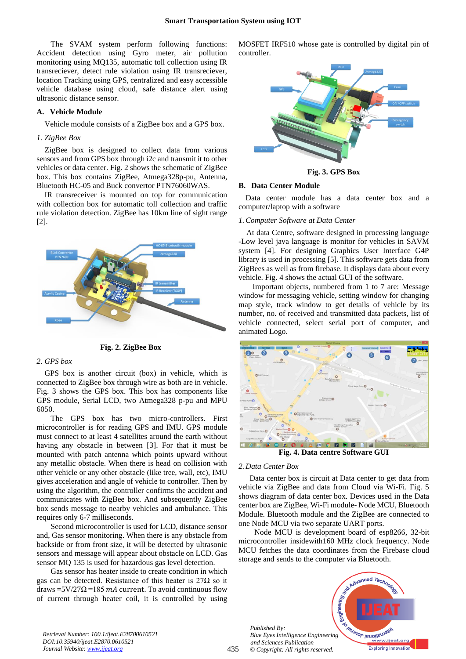The SVAM system perform following functions: Accident detection using Gyro meter, air pollution monitoring using MQ135, automatic toll collection using IR transreciever, detect rule violation using IR transreciever, location Tracking using GPS, centralized and easy accessible vehicle database using cloud, safe distance alert using ultrasonic distance sensor.

### **A. Vehicle Module**

Vehicle module consists of a ZigBee box and a GPS box.

### *1. ZigBee Box*

ZigBee box is designed to collect data from various sensors and from GPS box through i2c and transmit it to other vehicles or data center. Fig. 2 shows the schematic of ZigBee box. This box contains ZigBee, Atmega328p-pu, Antenna, Bluetooth HC-05 and Buck convertor PTN76060WAS.

IR transreceiver is mounted on top for communication with collection box for automatic toll collection and traffic rule violation detection. ZigBee has 10km line of sight range [2].



**Fig. 2. ZigBee Box**

#### *2. GPS box*

GPS box is another circuit (box) in vehicle, which is connected to ZigBee box through wire as both are in vehicle. Fig. 3 shows the GPS box. This box has components like GPS module, Serial LCD, two Atmega328 p-pu and MPU 6050.

The GPS box has two micro-controllers. First microcontroller is for reading GPS and IMU. GPS module must connect to at least 4 satellites around the earth without having any obstacle in between [3]. For that it must be mounted with patch antenna which points upward without any metallic obstacle. When there is head on collision with other vehicle or any other obstacle (like tree, wall, etc), IMU gives acceleration and angle of vehicle to controller. Then by using the algorithm, the controller confirms the accident and communicates with ZigBee box. And subsequently ZigBee box sends message to nearby vehicles and ambulance. This requires only 6-7 milliseconds.

Second microcontroller is used for LCD, distance sensor and, Gas sensor monitoring. When there is any obstacle from backside or from front size, it will be detected by ultrasonic sensors and message will appear about obstacle on LCD. Gas sensor MQ 135 is used for hazardous gas level detection.

Gas sensor has heater inside to create condition in which gas can be detected. Resistance of this heater is  $27\Omega$  so it draws =5V/27 $\Omega$  =185 *mA* current. To avoid continuous flow of current through heater coil, it is controlled by using MOSFET IRF510 whose gate is controlled by digital pin of controller.



**Fig. 3. GPS Box**

#### **B. Data Center Module**

Data center module has a data center box and a computer/laptop with a software

#### *1.Computer Software at Data Center*

At data Centre, software designed in processing language -Low level java language is monitor for vehicles in SAVM system [4]. For designing Graphics User Interface G4P library is used in processing [5]. This software gets data from ZigBees as well as from firebase. It displays data about every vehicle. Fig. 4 shows the actual GUI of the software.

Important objects, numbered from 1 to 7 are: Message window for messaging vehicle, setting window for changing map style, track window to get details of vehicle by its number, no. of received and transmitted data packets, list of vehicle connected, select serial port of computer, and animated Logo.



**Fig. 4. Data centre Software GUI**

#### *2. Data Center Box*

Data center box is circuit at Data center to get data from vehicle via ZigBee and data from Cloud via Wi-Fi. Fig. 5 shows diagram of data center box. Devices used in the Data center box are ZigBee, Wi-Fi module- Node MCU, Bluetooth Module. Bluetooth module and the ZigBee are connected to one Node MCU via two separate UART ports.

Node MCU is development board of esp8266, 32-bit microcontroller insidewith160 MHz clock frequency. Node MCU fetches the data coordinates from the Firebase cloud storage and sends to the computer via Bluetooth.

*Published By: Blue Eyes Intelligence Engineering and Sciences Publication © Copyright: All rights reserved.*



*Retrieval Number: 100.1/ijeat.E28700610521 DOI:10.35940/ijeat.E2870.0610521 Journal Website[: www.ijeat.org](http://www.ijeat.org/)*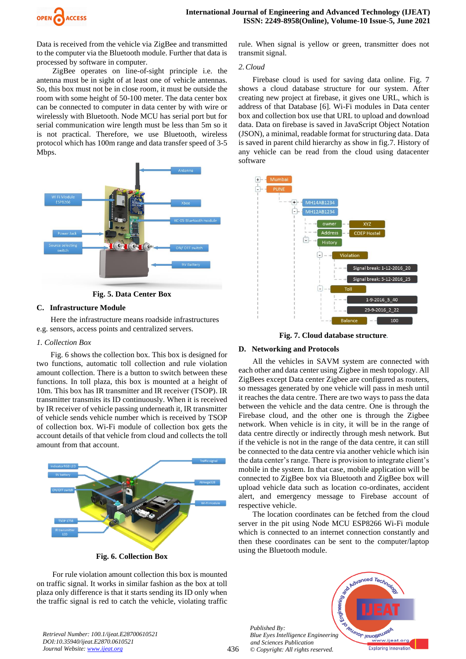

Data is received from the vehicle via ZigBee and transmitted to the computer via the Bluetooth module. Further that data is processed by software in computer.

ZigBee operates on line-of-sight principle i.e. the antenna must be in sight of at least one of vehicle antennas. So, this box must not be in close room, it must be outside the room with some height of 50-100 meter. The data center box can be connected to computer in data center by with wire or wirelessly with Bluetooth. Node MCU has serial port but for serial communication wire length must be less than 5m so it is not practical. Therefore, we use Bluetooth, wireless protocol which has 100m range and data transfer speed of 3-5 Mbps.



**Fig. 5. Data Center Box**

## **C. Infrastructure Module**

Here the infrastructure means roadside infrastructures e.g. sensors, access points and centralized servers.

## *1. Collection Box*

Fig. 6 shows the collection box. This box is designed for two functions, automatic toll collection and rule violation amount collection. There is a button to switch between these functions. In toll plaza, this box is mounted at a height of 10m. This box has IR transmitter and IR receiver (TSOP). IR transmitter transmits its ID continuously. When it is received by IR receiver of vehicle passing underneath it, IR transmitter of vehicle sends vehicle number which is received by TSOP of collection box. Wi-Fi module of collection box gets the account details of that vehicle from cloud and collects the toll amount from that account.



**Fig. 6. Collection Box**

For rule violation amount collection this box is mounted on traffic signal. It works in similar fashion as the box at toll plaza only difference is that it starts sending its ID only when the traffic signal is red to catch the vehicle, violating traffic rule. When signal is yellow or green, transmitter does not transmit signal.

## *2.Cloud*

Firebase cloud is used for saving data online. Fig. 7 shows a cloud database structure for our system. After creating new project at firebase, it gives one URL, which is address of that Database [6]. Wi-Fi modules in Data center box and collection box use that URL to upload and download data. Data on firebase is saved in JavaScript Object Notation (JSON), a minimal, readable format for structuring data. Data is saved in parent child hierarchy as show in fig.7. History of any vehicle can be read from the cloud using datacenter software



**Fig. 7. Cloud database structure***.*

## **D. Networking and Protocols**

All the vehicles in SAVM system are connected with each other and data center using Zigbee in mesh topology. All ZigBees except Data center Zigbee are configured as routers, so messages generated by one vehicle will pass in mesh until it reaches the data centre. There are two ways to pass the data between the vehicle and the data centre. One is through the Firebase cloud, and the other one is through the Zigbee network. When vehicle is in city, it will be in the range of data centre directly or indirectly through mesh network. But if the vehicle is not in the range of the data centre, it can still be connected to the data centre via another vehicle which isin the data center's range. There is provision to integrate client's mobile in the system. In that case, mobile application will be connected to ZigBee box via Bluetooth and ZigBee box will upload vehicle data such as location co-ordinates, accident alert, and emergency message to Firebase account of respective vehicle.

The location coordinates can be fetched from the cloud server in the pit using Node MCU ESP8266 Wi-Fi module which is connected to an internet connection constantly and then these coordinates can be sent to the computer/laptop using the Bluetooth module.

*Published By: Blue Eyes Intelligence Engineering and Sciences Publication © Copyright: All rights reserved.*

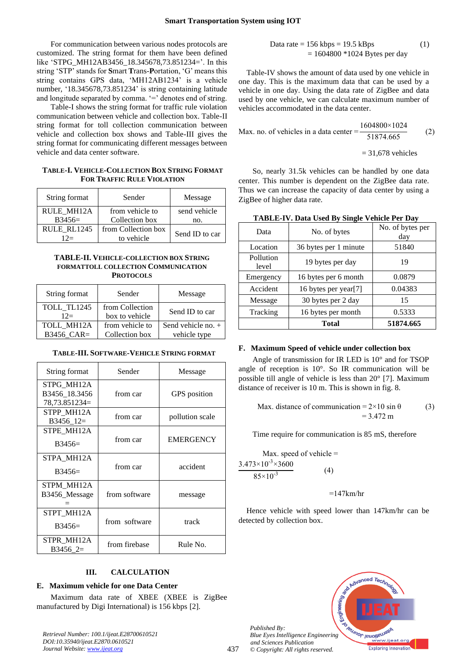For communication between various nodes protocols are customized. The string format for them have been defined like 'STPG\_MH12AB3456\_18.345678,73.851234='. In this string 'STP' stands for **S**mart **T**rans-**P**ortation, 'G' means this string contains GPS data, 'MH12AB1234' is a vehicle number, '18.345678,73.851234' is string containing latitude and longitude separated by comma. '=' denotes end of string.

Table-I shows the string format for traffic rule violation communication between vehicle and collection box. Table-II string format for toll collection communication between vehicle and collection box shows and Table-III gives the string format for communicating different messages between vehicle and data center software.

## **TABLE-I. VEHICLE-COLLECTION BOX STRING FORMAT FOR TRAFFIC RULE VIOLATION**

| String format     | Sender              | Message        |  |
|-------------------|---------------------|----------------|--|
| <b>RULE MH12A</b> | from vehicle to     | send vehicle   |  |
| $B3456=$          | Collection box      | no.            |  |
| RULE RL1245       | from Collection box | Send ID to car |  |
| $12=$             | to vehicle          |                |  |

### **TABLE-II. VEHICLE-COLLECTION BOX STRING FORMATTOLL COLLECTION COMMUNICATION PROTOCOLS**

| String format        | Sender                            | Message              |
|----------------------|-----------------------------------|----------------------|
| TOLL TL1245<br>$12=$ | from Collection<br>box to vehicle | Send ID to car       |
| TOLL MH12A           | from vehicle to                   | Send vehicle no. $+$ |
| B3456 CAR=           | Collection box                    | vehicle type         |

#### **TABLE-III. SOFTWARE-VEHICLE STRING FORMAT**

| String format                                | Sender        | Message          |
|----------------------------------------------|---------------|------------------|
| STPG MH12A<br>B3456 18.3456<br>78,73.851234= | from car      | GPS position     |
| STPP MH12A<br>B3456 12=                      | from car      | pollution scale  |
| STPE MH12A<br>$B3456=$                       | from car      | <b>EMERGENCY</b> |
| STPA_MH12A<br>$B3456=$                       | from car      | accident         |
| STPM_MH12A<br>B3456_Message                  | from software | message          |
| STPT MH12A<br>$B3456=$                       | from software | track            |
| STPR MH12A<br>$B3456$ 2=                     | from firebase | Rule No.         |

# **III. CALCULATION**

### **E. Maximum vehicle for one Data Center**

Maximum data rate of XBEE (XBEE is ZigBee manufactured by Digi International) is 156 kbps [2].

*Retrieval Number: 100.1/ijeat.E28700610521 DOI:10.35940/ijeat.E2870.0610521 Journal Website[: www.ijeat.org](http://www.ijeat.org/)*

Data rate = 
$$
156 \text{ kbps} = 19.5 \text{ kBps}
$$
 (1)  
=  $1604800 * 1024 \text{ Bytes per day}$ 

Table-IV shows the amount of data used by one vehicle in one day. This is the maximum data that can be used by a vehicle in one day. Using the data rate of ZigBee and data used by one vehicle, we can calculate maximum number of vehicles accommodated in the data center.

Max. no. of vehicles in a data center = 
$$
\frac{1604800 \times 1024}{51874.665}
$$
 (2)

$$
= 31,678
$$
 vehicles

So, nearly 31.5k vehicles can be handled by one data center. This number is dependent on the ZigBee data rate. Thus we can increase the capacity of data center by using a ZigBee of higher data rate.

| Data               | No. of bytes          | No. of bytes per<br>day |
|--------------------|-----------------------|-------------------------|
| Location           | 36 bytes per 1 minute | 51840                   |
| Pollution<br>level | 19 bytes per day      | 19                      |
| Emergency          | 16 bytes per 6 month  | 0.0879                  |
| Accident           | 16 bytes per year[7]  | 0.04383                 |
| Message            | 30 bytes per 2 day    | 15                      |
| Tracking           | 16 bytes per month    | 0.5333                  |
|                    | Total                 | 51874.665               |

### **TABLE-IV. Data Used By Single Vehicle Per Day**

### **F. Maximum Speed of vehicle under collection box**

Angle of transmission for IR LED is 10° and for TSOP angle of reception is 10°. So IR communication will be possible till angle of vehicle is less than 20° [7]. Maximum distance of receiver is 10 m. This is shown in fig. 8.

Max. distance of communication = 
$$
2 \times 10 \sin \theta
$$
 (3)  
= 3.472 m

Time require for communication is 85 mS, therefore

Max. speed of vehicle =  
\n
$$
\frac{3.473 \times 10^{-3} \times 3600}{85 \times 10^{-3}}
$$
 (4)

 $=147$ km/hr

Hence vehicle with speed lower than 147km/hr can be detected by collection box.



*Published By: Blue Eyes Intelligence Engineering and Sciences Publication © Copyright: All rights reserved.*